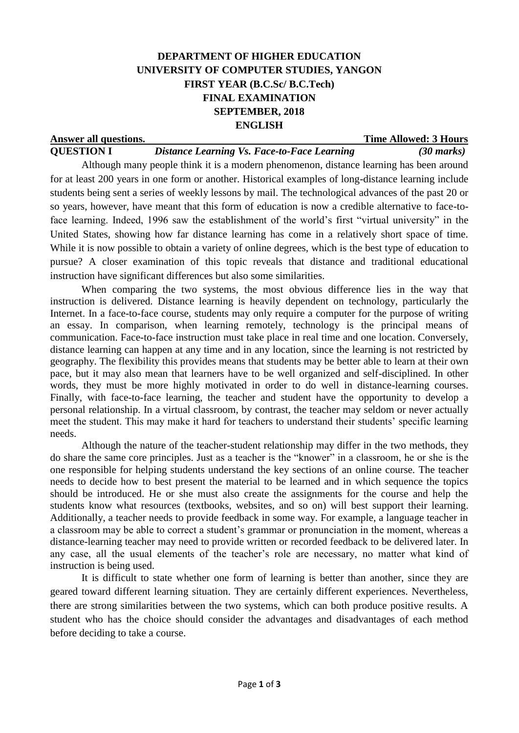# **DEPARTMENT OF HIGHER EDUCATION UNIVERSITY OF COMPUTER STUDIES, YANGON FIRST YEAR (B.C.Sc/ B.C.Tech) FINAL EXAMINATION SEPTEMBER, 2018 ENGLISH**

| Answer all questions. |                                                                                         | <b>Time Allowed: 3 Hours</b> |
|-----------------------|-----------------------------------------------------------------------------------------|------------------------------|
| <b>QUESTION I</b>     | Distance Learning Vs. Face-to-Face Learning                                             | $(30 \text{ marks})$         |
|                       | Although many people think it is a modern phenomenon, distance learning has been around |                              |

for at least 200 years in one form or another. Historical examples of long-distance learning include students being sent a series of weekly lessons by mail. The technological advances of the past 20 or so years, however, have meant that this form of education is now a credible alternative to face-toface learning. Indeed, 1996 saw the establishment of the world's first "virtual university" in the United States, showing how far distance learning has come in a relatively short space of time. While it is now possible to obtain a variety of online degrees, which is the best type of education to pursue? A closer examination of this topic reveals that distance and traditional educational instruction have significant differences but also some similarities.

When comparing the two systems, the most obvious difference lies in the way that instruction is delivered. Distance learning is heavily dependent on technology, particularly the Internet. In a face-to-face course, students may only require a computer for the purpose of writing an essay. In comparison, when learning remotely, technology is the principal means of communication. Face-to-face instruction must take place in real time and one location. Conversely, distance learning can happen at any time and in any location, since the learning is not restricted by geography. The flexibility this provides means that students may be better able to learn at their own pace, but it may also mean that learners have to be well organized and self-disciplined. In other words, they must be more highly motivated in order to do well in distance-learning courses. Finally, with face-to-face learning, the teacher and student have the opportunity to develop a personal relationship. In a virtual classroom, by contrast, the teacher may seldom or never actually meet the student. This may make it hard for teachers to understand their students' specific learning needs.

Although the nature of the teacher-student relationship may differ in the two methods, they do share the same core principles. Just as a teacher is the "knower" in a classroom, he or she is the one responsible for helping students understand the key sections of an online course. The teacher needs to decide how to best present the material to be learned and in which sequence the topics should be introduced. He or she must also create the assignments for the course and help the students know what resources (textbooks, websites, and so on) will best support their learning. Additionally, a teacher needs to provide feedback in some way. For example, a language teacher in a classroom may be able to correct a student's grammar or pronunciation in the moment, whereas a distance-learning teacher may need to provide written or recorded feedback to be delivered later. In any case, all the usual elements of the teacher's role are necessary, no matter what kind of instruction is being used.

It is difficult to state whether one form of learning is better than another, since they are geared toward different learning situation. They are certainly different experiences. Nevertheless, there are strong similarities between the two systems, which can both produce positive results. A student who has the choice should consider the advantages and disadvantages of each method before deciding to take a course.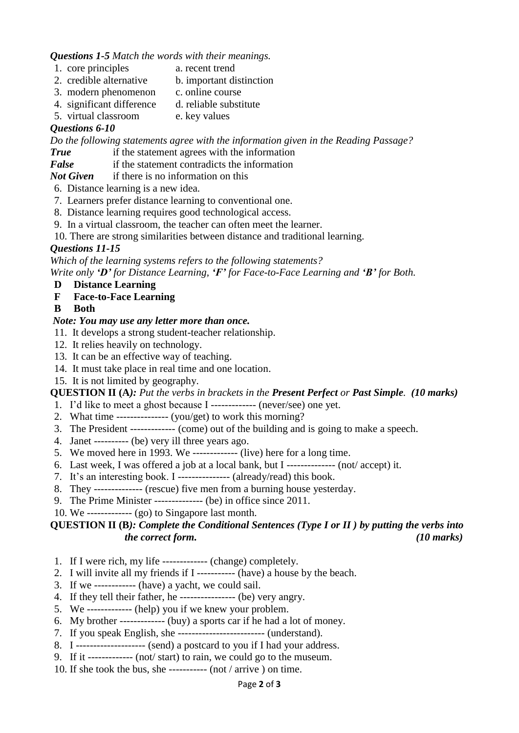#### *Questions 1-5 Match the words with their meanings.*

- 1. core principles a. recent trend
	-
- 2. credible alternative b. important distinction
- 3. modern phenomenon c. online course
- 4. significant difference d. reliable substitute
- 5. virtual classroom e. key values

# *Questions 6-10*

*Do the following statements agree with the information given in the Reading Passage?*

- *True* if the statement agrees with the information
- *False* if the statement contradicts the information

*Not Given* if there is no information on this

6. Distance learning is a new idea.

- 7. Learners prefer distance learning to conventional one.
- 8. Distance learning requires good technological access.
- 9. In a virtual classroom, the teacher can often meet the learner.
- 10. There are strong similarities between distance and traditional learning.

## *Questions 11-15*

*Which of the learning systems refers to the following statements?* 

*Write only 'D' for Distance Learning, 'F' for Face-to-Face Learning and 'B' for Both.*

### **D Distance Learning**

- **F Face-to-Face Learning**
- **B Both**

## *Note: You may use any letter more than once.*

- 11. It develops a strong student-teacher relationship.
- 12. It relies heavily on technology.
- 13. It can be an effective way of teaching.
- 14. It must take place in real time and one location.
- 15. It is not limited by geography.

## **QUESTION II (A***): Put the verbs in brackets in the Present Perfect or Past Simple. (10 marks)*

- 1. I'd like to meet a ghost because I ------------- (never/see) one yet.
- 2. What time --------------- (you/get) to work this morning?
- 3. The President ------------- (come) out of the building and is going to make a speech.
- 4. Janet ---------- (be) very ill three years ago.
- 5. We moved here in 1993. We ------------- (live) here for a long time.
- 6. Last week, I was offered a job at a local bank, but I -------------- (not/ accept) it.
- 7. It's an interesting book. I --------------- (already/read) this book.
- 8. They -------------- (rescue) five men from a burning house yesterday.
- 9. The Prime Minister -------------- (be) in office since 2011.
- 10. We ------------- (go) to Singapore last month.

## **QUESTION II (B***): Complete the Conditional Sentences (Type I or II ) by putting the verbs into the correct form. (10 marks)*

- 1. If I were rich, my life ------------- (change) completely.
- 2. I will invite all my friends if I ----------- (have) a house by the beach.
- 3. If we ------------ (have) a yacht, we could sail.
- 4. If they tell their father, he ---------------- (be) very angry.
- 5. We ------------- (help) you if we knew your problem.
- 6. My brother ------------- (buy) a sports car if he had a lot of money.
- 7. If you speak English, she ------------------------- (understand).
- 8. I -------------------- (send) a postcard to you if I had your address.
- 9. If it ------------- (not/ start) to rain, we could go to the museum.
- 10. If she took the bus, she ----------- (not / arrive ) on time.